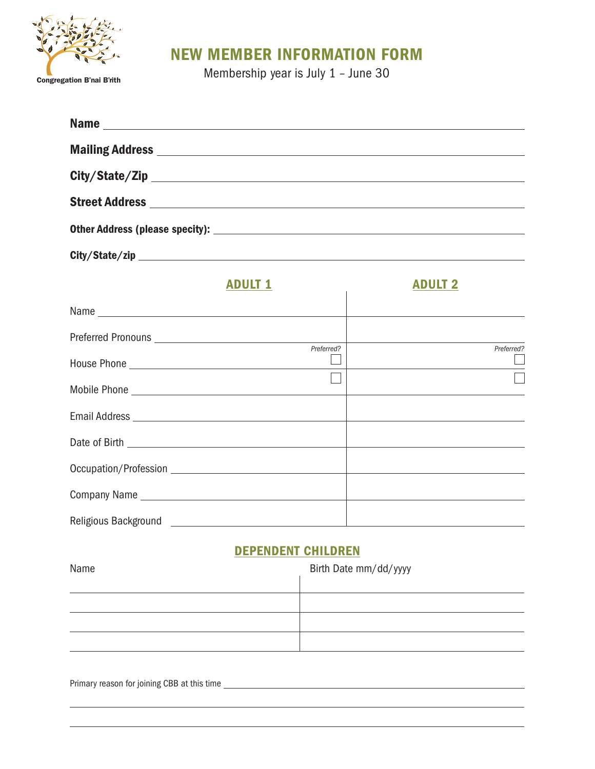

# NEW MEMBER INFORMATION FORM

**Membership year is July 1 – June 30** Membership year is July 1 – June 30

|                                              | Name                                                                                                                                                                                                                                |
|----------------------------------------------|-------------------------------------------------------------------------------------------------------------------------------------------------------------------------------------------------------------------------------------|
|                                              | Mailing Address <b>contract and the Contract of Address</b> and The Contract of The Contract of The Contract of The Contract of The Contract of The Contract of The Contract of The Contract of The Contract of The Contract of The |
|                                              |                                                                                                                                                                                                                                     |
|                                              |                                                                                                                                                                                                                                     |
|                                              |                                                                                                                                                                                                                                     |
|                                              |                                                                                                                                                                                                                                     |
| <b>ADULT 1</b>                               | <b>ADULT 2</b>                                                                                                                                                                                                                      |
|                                              |                                                                                                                                                                                                                                     |
|                                              | Preferred?                                                                                                                                                                                                                          |
|                                              | <u> 1980 - Johann Barn, mars ann an t-Amhain Aonaich an t-Aonaich an t-Aonaich an t-Aonaich an t-Aonaich an t-Aon</u>                                                                                                               |
|                                              |                                                                                                                                                                                                                                     |
|                                              |                                                                                                                                                                                                                                     |
|                                              |                                                                                                                                                                                                                                     |
|                                              |                                                                                                                                                                                                                                     |
| Company Name experience and the company Name |                                                                                                                                                                                                                                     |
|                                              |                                                                                                                                                                                                                                     |
|                                              |                                                                                                                                                                                                                                     |

## DEPENDENT CHILDREN

| Name | Birth Date mm/dd/yyyy |  |
|------|-----------------------|--|
|      |                       |  |
|      |                       |  |
|      |                       |  |
|      |                       |  |

Primary reason for joining CBB at this time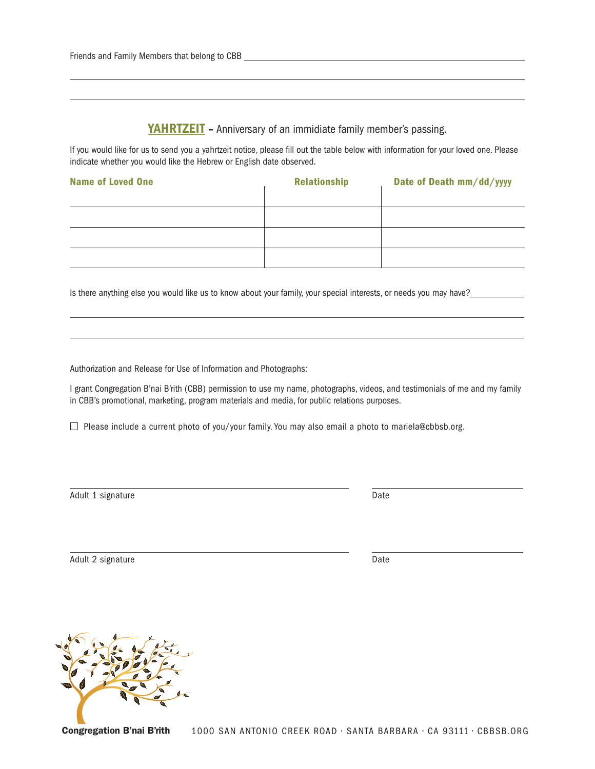#### YAHRTZEIT - Anniversary of an immidiate family member's passing.

If you would like for us to send you a yahrtzeit notice, please fill out the table below with information for your loved one. Please indicate whether you would like the Hebrew or English date observed.

| <b>Name of Loved One</b> | <b>Relationship</b> | Date of Death mm/dd/yyyy |
|--------------------------|---------------------|--------------------------|
|                          |                     |                          |
|                          |                     |                          |
|                          |                     |                          |
|                          |                     |                          |

Is there anything else you would like us to know about your family, your special interests, or needs you may have?

Authorization and Release for Use of Information and Photographs:

 $\overline{a}$ 

 $\overline{a}$ 

I grant Congregation B'nai B'rith (CBB) permission to use my name, photographs, videos, and testimonials of me and my family in CBB's promotional, marketing, program materials and media, for public relations purposes.

□ Please include a current photo of you/your family. You may also email a photo to mariela@cbbsb.org.

Adult 1 signature Date

Adult 2 signature Date

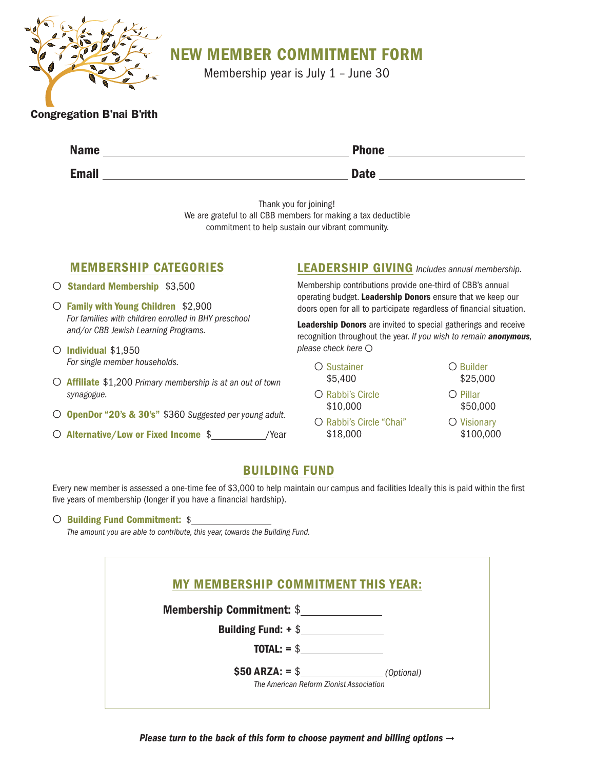

# NEW MEMBER COMMITMENT FORM

Membership year is July 1 – June 30

#### Congregation B'nai B'rith

| <b>Name</b>  | <b>Phone</b> |
|--------------|--------------|
| <b>Email</b> | <b>Date</b>  |

Thank you for joining!

We are grateful to all CBB members for making a tax deductible commitment to help sustain our vibrant community.

## MEMBERSHIP CATEGORIES

- O Standard Membership \$3,500
- O Family with Young Children \$2,900 *For families with children enrolled in BHY preschool and/or CBB Jewish Learning Programs.*
- O Individual \$1,950 *For single member households.*
- O Affiliate \$1,200 *Primary membership is at an out of town synagogue.*
- O OpenDor "20's & 30's" \$360 *Suggested per young adult.*
- O Alternative/Low or Fixed Income \$ /Year

### LEADERSHIP GIVING *Includes annual membership.*

Membership contributions provide one-third of CBB's annual operating budget. Leadership Donors ensure that we keep our doors open for all to participate regardless of financial situation.

Leadership Donors are invited to special gatherings and receive recognition throughout the year. *If you wish to remain anonymous, please check here* O

| O Sustainer<br>\$5,400              |
|-------------------------------------|
| C Rabbi's Circle<br>\$10,000        |
| O Rabbi's Circle "Chai"<br>\$18,000 |

#### \$25,000 O Pillar \$50,000

O Builder

O Visionary \$100,000

## BUILDING FUND

Every new member is assessed a one-time fee of \$3,000 to help maintain our campus and facilities Ideally this is paid within the first five years of membership (longer if you have a financial hardship).

#### O Building Fund Commitment: \$

*The amount you are able to contribute, this year, towards the Building Fund.*

| <b>MY MEMBERSHIP COMMITMENT THIS YEAR:</b> |  |
|--------------------------------------------|--|
| <b>Membership Commitment: \$</b>           |  |
| Building Fund: $+$ \$                      |  |
| $\text{TOTAL:} = $$                        |  |
|                                            |  |

*Please turn to the back of this form to choose payment and billing options*